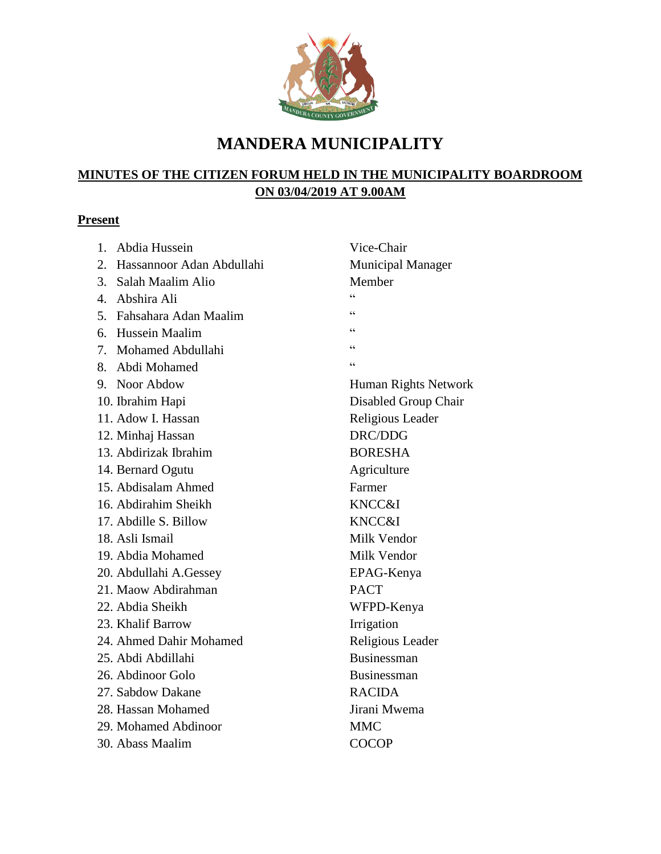

# **MANDERA MUNICIPALITY**

# **MINUTES OF THE CITIZEN FORUM HELD IN THE MUNICIPALITY BOARDROOM ON 03/04/2019 AT 9.00AM**

## **Present**

| 1. | Abdia Hussein                | Vice-Chair               |
|----|------------------------------|--------------------------|
|    | 2. Hassannoor Adan Abdullahi | <b>Municipal Manager</b> |
|    | 3. Salah Maalim Alio         | Member                   |
|    | 4. Abshira Ali               | $\epsilon$               |
|    | 5. Fahsahara Adan Maalim     | 66                       |
|    | 6. Hussein Maalim            | 66                       |
|    | 7. Mohamed Abdullahi         | 66                       |
| 8. | Abdi Mohamed                 | 66                       |
|    | 9. Noor Abdow                | Human Rights Network     |
|    | 10. Ibrahim Hapi             | Disabled Group Chair     |
|    | 11. Adow I. Hassan           | Religious Leader         |
|    | 12. Minhaj Hassan            | DRC/DDG                  |
|    | 13. Abdirizak Ibrahim        | <b>BORESHA</b>           |
|    | 14. Bernard Ogutu            | Agriculture              |
|    | 15. Abdisalam Ahmed          | Farmer                   |
|    | 16. Abdirahim Sheikh         | KNCC&I                   |
|    | 17. Abdille S. Billow        | KNCC&I                   |
|    | 18. Asli Ismail              | Milk Vendor              |
|    | 19. Abdia Mohamed            | Milk Vendor              |
|    | 20. Abdullahi A.Gessey       | EPAG-Kenya               |
|    | 21. Maow Abdirahman          | <b>PACT</b>              |
|    | 22. Abdia Sheikh             | WFPD-Kenya               |
|    | 23. Khalif Barrow            | Irrigation               |
|    | 24. Ahmed Dahir Mohamed      | Religious Leader         |
|    | 25. Abdi Abdillahi           | <b>Businessman</b>       |
|    | 26. Abdinoor Golo            | Businessman              |
|    | 27. Sabdow Dakane            | <b>RACIDA</b>            |
|    | 28. Hassan Mohamed           | Jirani Mwema             |
|    | 29. Mohamed Abdinoor         | <b>MMC</b>               |
|    | 30. Abass Maalim             | <b>COCOP</b>             |
|    |                              |                          |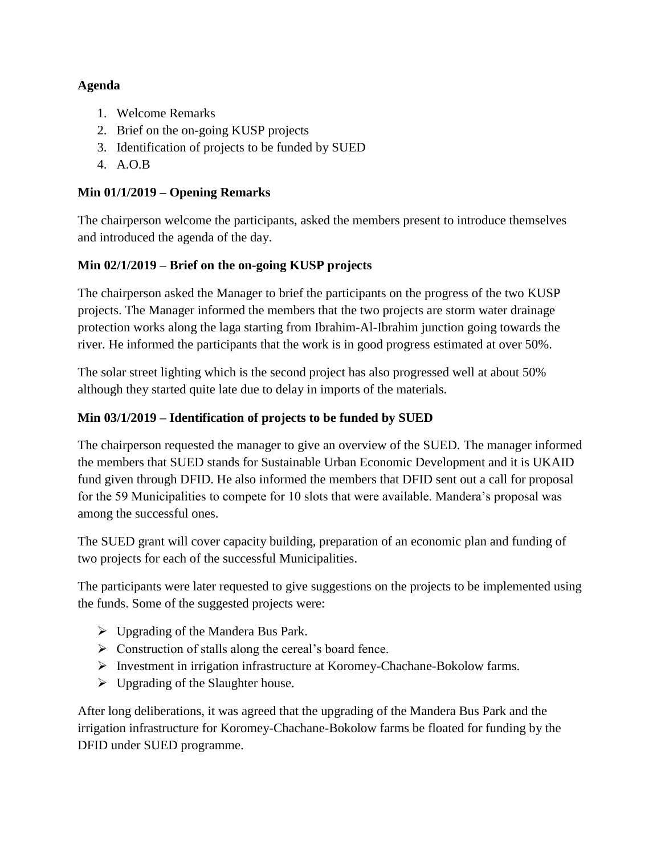#### **Agenda**

- 1. Welcome Remarks
- 2. Brief on the on-going KUSP projects
- 3. Identification of projects to be funded by SUED
- 4. A.O.B

#### **Min 01/1/2019 – Opening Remarks**

The chairperson welcome the participants, asked the members present to introduce themselves and introduced the agenda of the day.

### **Min 02/1/2019 – Brief on the on-going KUSP projects**

The chairperson asked the Manager to brief the participants on the progress of the two KUSP projects. The Manager informed the members that the two projects are storm water drainage protection works along the laga starting from Ibrahim-Al-Ibrahim junction going towards the river. He informed the participants that the work is in good progress estimated at over 50%.

The solar street lighting which is the second project has also progressed well at about 50% although they started quite late due to delay in imports of the materials.

#### **Min 03/1/2019 – Identification of projects to be funded by SUED**

The chairperson requested the manager to give an overview of the SUED. The manager informed the members that SUED stands for Sustainable Urban Economic Development and it is UKAID fund given through DFID. He also informed the members that DFID sent out a call for proposal for the 59 Municipalities to compete for 10 slots that were available. Mandera's proposal was among the successful ones.

The SUED grant will cover capacity building, preparation of an economic plan and funding of two projects for each of the successful Municipalities.

The participants were later requested to give suggestions on the projects to be implemented using the funds. Some of the suggested projects were:

- $\triangleright$  Upgrading of the Mandera Bus Park.
- $\triangleright$  Construction of stalls along the cereal's board fence.
- $\triangleright$  Investment in irrigation infrastructure at Koromey-Chachane-Bokolow farms.
- $\triangleright$  Upgrading of the Slaughter house.

After long deliberations, it was agreed that the upgrading of the Mandera Bus Park and the irrigation infrastructure for Koromey-Chachane-Bokolow farms be floated for funding by the DFID under SUED programme.